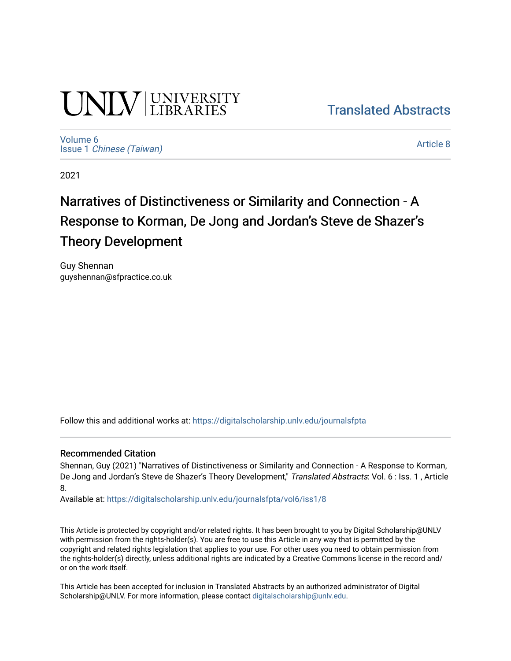# **UNIVERSITY**

[Translated Abstracts](https://digitalscholarship.unlv.edu/journalsfpta) 

[Volume 6](https://digitalscholarship.unlv.edu/journalsfpta/vol6) Issue 1 [Chinese \(Taiwan\)](https://digitalscholarship.unlv.edu/journalsfpta/vol6/iss1)

[Article 8](https://digitalscholarship.unlv.edu/journalsfpta/vol6/iss1/8) 

2021

# Narratives of Distinctiveness or Similarity and Connection - A Response to Korman, De Jong and Jordan's Steve de Shazer's Theory Development

Guy Shennan guyshennan@sfpractice.co.uk

Follow this and additional works at: [https://digitalscholarship.unlv.edu/journalsfpta](https://digitalscholarship.unlv.edu/journalsfpta?utm_source=digitalscholarship.unlv.edu%2Fjournalsfpta%2Fvol6%2Fiss1%2F8&utm_medium=PDF&utm_campaign=PDFCoverPages) 

#### Recommended Citation

Shennan, Guy (2021) "Narratives of Distinctiveness or Similarity and Connection - A Response to Korman, De Jong and Jordan's Steve de Shazer's Theory Development," Translated Abstracts: Vol. 6 : Iss. 1, Article 8.

Available at: [https://digitalscholarship.unlv.edu/journalsfpta/vol6/iss1/8](https://digitalscholarship.unlv.edu/journalsfpta/vol6/iss1/8?utm_source=digitalscholarship.unlv.edu%2Fjournalsfpta%2Fvol6%2Fiss1%2F8&utm_medium=PDF&utm_campaign=PDFCoverPages)

This Article is protected by copyright and/or related rights. It has been brought to you by Digital Scholarship@UNLV with permission from the rights-holder(s). You are free to use this Article in any way that is permitted by the copyright and related rights legislation that applies to your use. For other uses you need to obtain permission from the rights-holder(s) directly, unless additional rights are indicated by a Creative Commons license in the record and/ or on the work itself.

This Article has been accepted for inclusion in Translated Abstracts by an authorized administrator of Digital Scholarship@UNLV. For more information, please contact [digitalscholarship@unlv.edu.](mailto:digitalscholarship@unlv.edu)